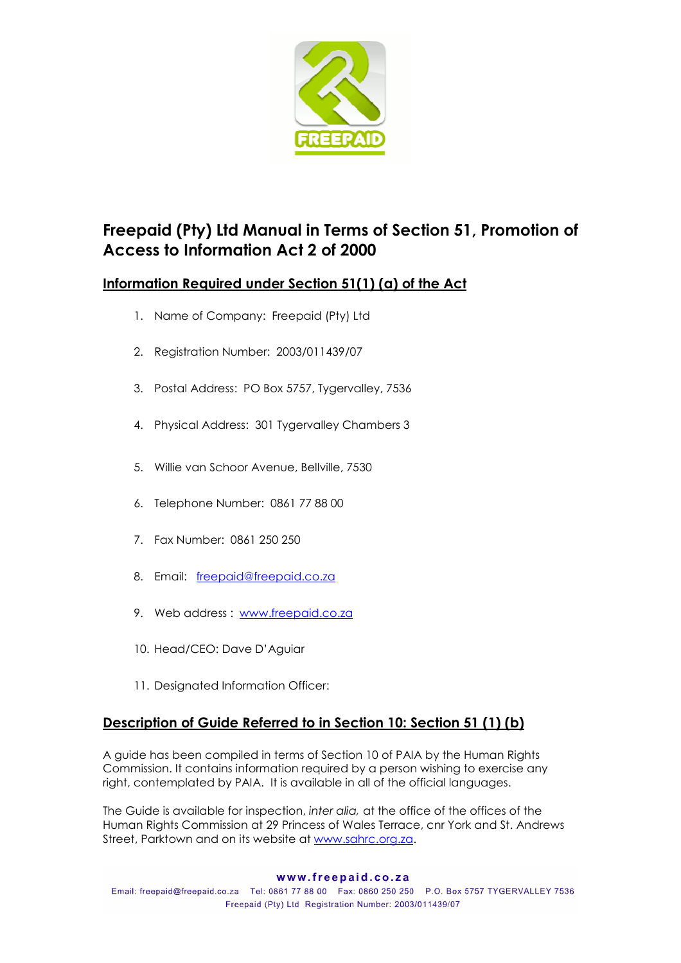

# Freepaid (Pty) Ltd Manual in Terms of Section 51, Promotion of Access to Information Act 2 of 2000

## Information Required under Section 51(1) (a) of the Act

- 1. Name of Company: Freepaid (Pty) Ltd
- 2. Registration Number: 2003/011439/07
- 3. Postal Address: PO Box 5757, Tygervalley, 7536
- 4. Physical Address: 301 Tygervalley Chambers 3
- 5. Willie van Schoor Avenue, Bellville, 7530
- 6. Telephone Number: 0861 77 88 00
- 7. Fax Number: 0861 250 250
- 8. Email: freepaid@freepaid.co.za
- 9. Web address : www.freepaid.co.za
- 10. Head/CEO: Dave D'Aguiar
- 11. Designated Information Officer:

## Description of Guide Referred to in Section 10: Section 51 (1) (b)

A guide has been compiled in terms of Section 10 of PAIA by the Human Rights Commission. It contains information required by a person wishing to exercise any right, contemplated by PAIA. It is available in all of the official languages.

The Guide is available for inspection, inter alia, at the office of the offices of the Human Rights Commission at 29 Princess of Wales Terrace, cnr York and St. Andrews Street, Parktown and on its website at www.sahrc.org.za.

#### www.freepaid.co.za

Email: freepaid@freepaid.co.za Tel: 0861 77 88 00 Fax: 0860 250 250 P.O. Box 5757 TYGERVALLEY 7536 Freepaid (Pty) Ltd Registration Number: 2003/011439/07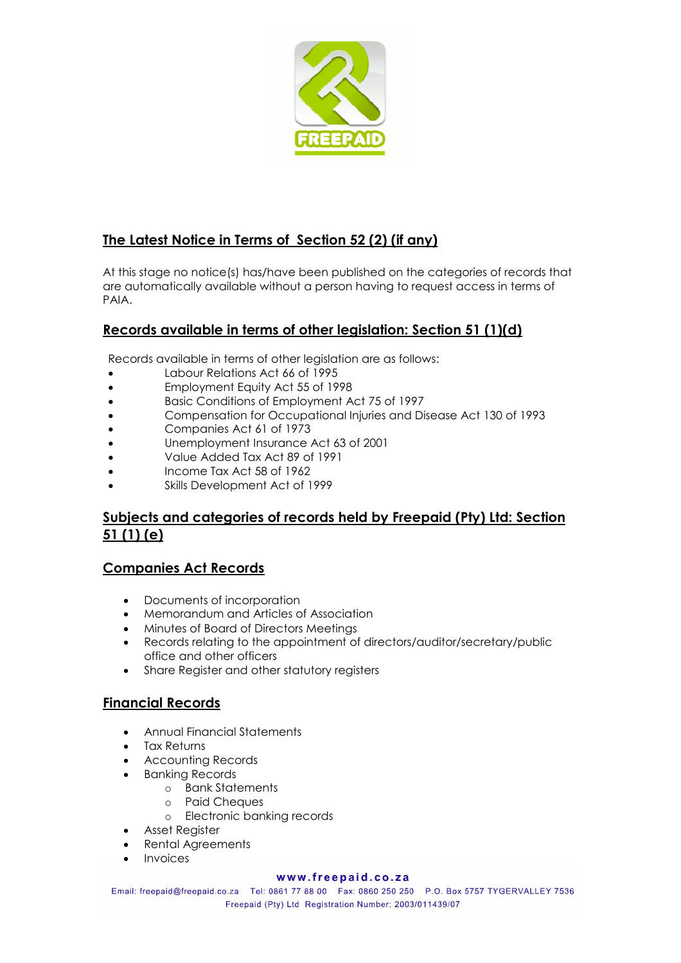

## The Latest Notice in Terms of Section 52 (2) (if any)

At this stage no notice(s) has/have been published on the categories of records that are automatically available without a person having to request access in terms of PAIA.

## Records available in terms of other legislation: Section 51 (1)(d)

Records available in terms of other legislation are as follows:

- Labour Relations Act 66 of 1995
- Employment Equity Act 55 of 1998
- Basic Conditions of Employment Act 75 of 1997
- Compensation for Occupational Injuries and Disease Act 130 of 1993
- Companies Act 61 of 1973
- Unemployment Insurance Act 63 of 2001
- Value Added Tax Act 89 of 1991
- Income Tax Act 58 of 1962
- Skills Development Act of 1999

### Subjects and categories of records held by Freepaid (Pty) Ltd: Section 51 (1) (e)

#### Companies Act Records

- Documents of incorporation
- Memorandum and Articles of Association
- Minutes of Board of Directors Meetings
- Records relating to the appointment of directors/auditor/secretary/public office and other officers
- Share Reaister and other statutory reaisters

#### Financial Records

- Annual Financial Statements
- Tax Returns
- Accounting Records
- Banking Records
	- o Bank Statements
	- o Paid Cheques
		- o Electronic banking records
- Asset Register
- Rental Agreements
- **Invoices**

#### www.freepaid.co.za

Email: freepaid@freepaid.co.za Tel: 0861 77 88 00 Fax: 0860 250 250 P.O. Box 5757 TYGERVALLEY 7536 Freepaid (Pty) Ltd Registration Number: 2003/011439/07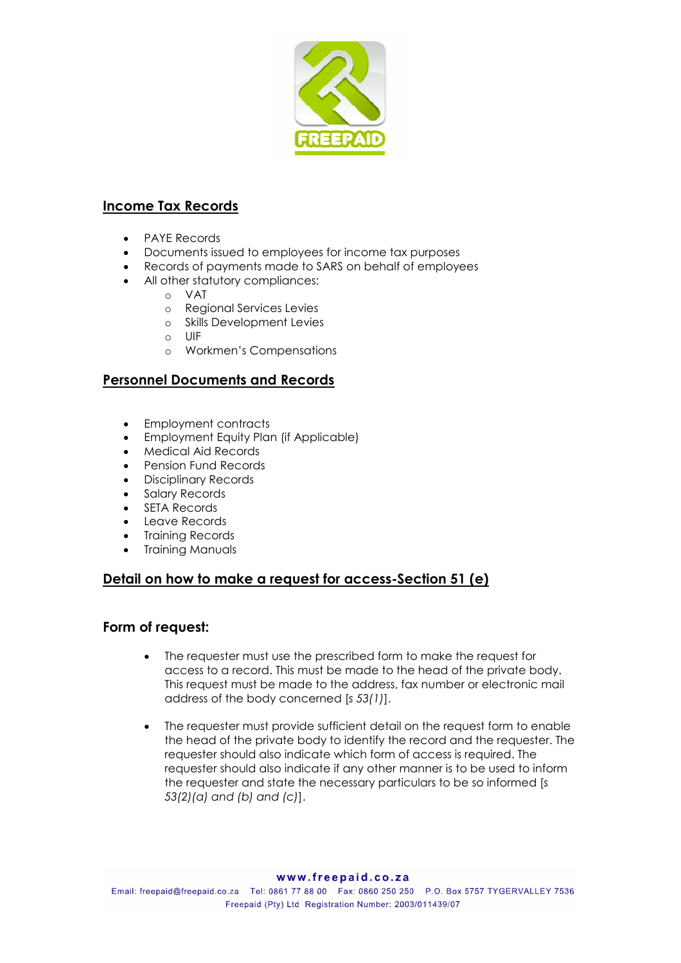

### Income Tax Records

- PAYE Records
- Documents issued to employees for income tax purposes
- Records of payments made to SARS on behalf of employees
- All other statutory compliances:
	- o VAT
	- o Regional Services Levies
	- o Skills Development Levies
	- o UIF
	- o Workmen's Compensations

### Personnel Documents and Records

- Employment contracts
- Employment Equity Plan (if Applicable)
- Medical Aid Records
- Pension Fund Records
- Disciplinary Records
- Salary Records
- **SETA Records**
- Leave Records
- Training Records
- **Training Manuals**

### Detail on how to make a request for access-Section 51 (e)

#### Form of request:

- The requester must use the prescribed form to make the request for access to a record. This must be made to the head of the private body. This request must be made to the address, fax number or electronic mail address of the body concerned [s 53(1)].
- The requester must provide sufficient detail on the request form to enable the head of the private body to identify the record and the requester. The requester should also indicate which form of access is required. The requester should also indicate if any other manner is to be used to inform the requester and state the necessary particulars to be so informed [s 53(2)(a) and (b) and (c)].

Email: freepaid@freepaid.co.za Tel: 0861 77 88 00 Fax: 0860 250 250 P.O. Box 5757 TYGERVALLEY 7536 Freepaid (Pty) Ltd Registration Number: 2003/011439/07